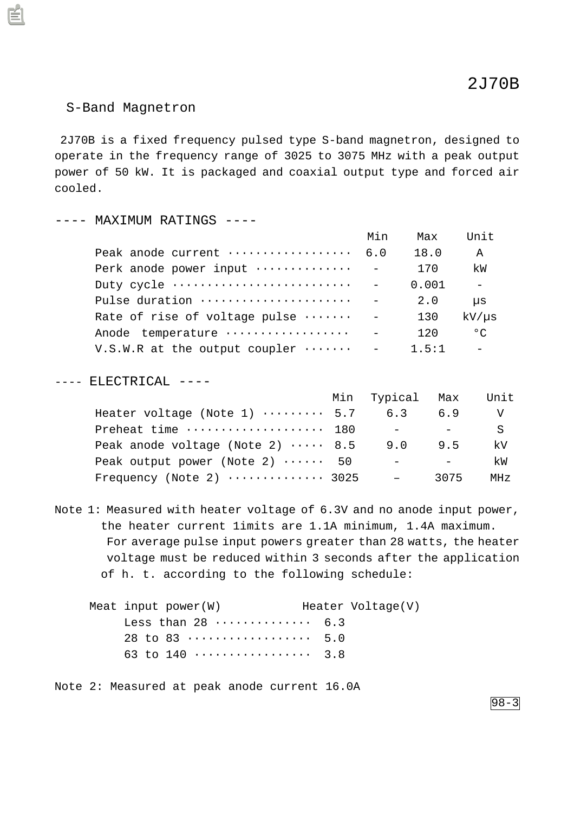## S-Band Magnetron

 2J70B is a fixed frequency pulsed type S-band magnetron, designed to operate in the frequency range of 3025 to 3075 MHz with a peak output power of 50 kW. It is packaged and coaxial output type and forced air cooled.

## ---- MAXIMUM RATINGS ----

|                                                 | Min | Max   | Unit         |
|-------------------------------------------------|-----|-------|--------------|
| Peak anode current  6.0                         |     | 18.0  | A            |
| Perk anode power input $\cdots \cdots \cdots$ - |     | 170   | kW           |
|                                                 |     | 0.001 | $\equiv$     |
| Pulse duration                                  |     | 2.0   | μs           |
| Rate of rise of voltage pulse $\cdots \cdots$ - |     | 130   | $kV/\mu s$   |
|                                                 |     | 120   | $^{\circ}$ C |
| V.S.W.R at the output coupler $\cdots$ -        |     | 1.5:1 |              |

## ---- ELECTRICAL ----

|                                             | Min Typical Max          |      | Unit            |
|---------------------------------------------|--------------------------|------|-----------------|
| Heater voltage (Note 1) $\cdots \cdots$ 5.7 | 6.3                      | 6.9  | V               |
| Preheat time  180                           | $-$                      |      | S               |
| Peak anode voltage (Note 2) $\cdots$ 8.5    | 9.0                      | 9.5  | kV              |
| Peak output power (Note 2) $\cdots$ 50      | $\overline{\phantom{0}}$ |      | kW              |
| Frequency (Note 2) $\cdots$ 3025            |                          | 3075 | MH <sub>z</sub> |

Note 1: Measured with heater voltage of 6.3V and no anode input power, the heater current 1imits are 1.1A minimum, 1.4A maximum. For average pulse input powers greater than 28 watts, the heater voltage must be reduced within 3 seconds after the application of h. t. according to the following schedule:

| Meat input power $(W)$ |                                           | Heater Voltage(V) |
|------------------------|-------------------------------------------|-------------------|
|                        | Less than $28$ 6.3                        |                   |
|                        |                                           |                   |
|                        | 63 to 140 $\dots\dots\dots\dots\dots$ 3.8 |                   |

Note 2: Measured at peak anode current 16.0A

98-3